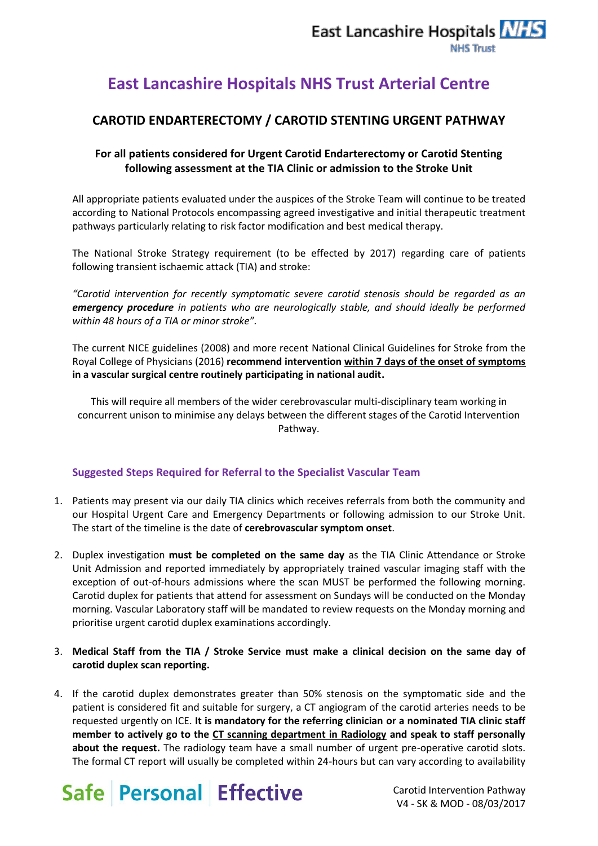## **East Lancashire Hospitals NHS Trust Arterial Centre**

### **CAROTID ENDARTERECTOMY / CAROTID STENTING URGENT PATHWAY**

### **For all patients considered for Urgent Carotid Endarterectomy or Carotid Stenting following assessment at the TIA Clinic or admission to the Stroke Unit**

All appropriate patients evaluated under the auspices of the Stroke Team will continue to be treated according to National Protocols encompassing agreed investigative and initial therapeutic treatment pathways particularly relating to risk factor modification and best medical therapy.

The National Stroke Strategy requirement (to be effected by 2017) regarding care of patients following transient ischaemic attack (TIA) and stroke:

*"Carotid intervention for recently symptomatic severe carotid stenosis should be regarded as an emergency procedure in patients who are neurologically stable, and should ideally be performed within 48 hours of a TIA or minor stroke".*

The current NICE guidelines (2008) and more recent National Clinical Guidelines for Stroke from the Royal College of Physicians (2016) **recommend intervention within 7 days of the onset of symptoms in a vascular surgical centre routinely participating in national audit.**

This will require all members of the wider cerebrovascular multi-disciplinary team working in concurrent unison to minimise any delays between the different stages of the Carotid Intervention Pathway.

#### **Suggested Steps Required for Referral to the Specialist Vascular Team**

- 1. Patients may present via our daily TIA clinics which receives referrals from both the community and our Hospital Urgent Care and Emergency Departments or following admission to our Stroke Unit. The start of the timeline is the date of **cerebrovascular symptom onset**.
- 2. Duplex investigation **must be completed on the same day** as the TIA Clinic Attendance or Stroke Unit Admission and reported immediately by appropriately trained vascular imaging staff with the exception of out-of-hours admissions where the scan MUST be performed the following morning. Carotid duplex for patients that attend for assessment on Sundays will be conducted on the Monday morning. Vascular Laboratory staff will be mandated to review requests on the Monday morning and prioritise urgent carotid duplex examinations accordingly.
- 3. **Medical Staff from the TIA / Stroke Service must make a clinical decision on the same day of carotid duplex scan reporting.**
- 4. If the carotid duplex demonstrates greater than 50% stenosis on the symptomatic side and the patient is considered fit and suitable for surgery, a CT angiogram of the carotid arteries needs to be requested urgently on ICE. **It is mandatory for the referring clinician or a nominated TIA clinic staff member to actively go to the CT scanning department in Radiology and speak to staff personally about the request.** The radiology team have a small number of urgent pre-operative carotid slots. The formal CT report will usually be completed within 24-hours but can vary according to availability



Carotid Intervention Pathway V4 - SK & MOD - 08/03/2017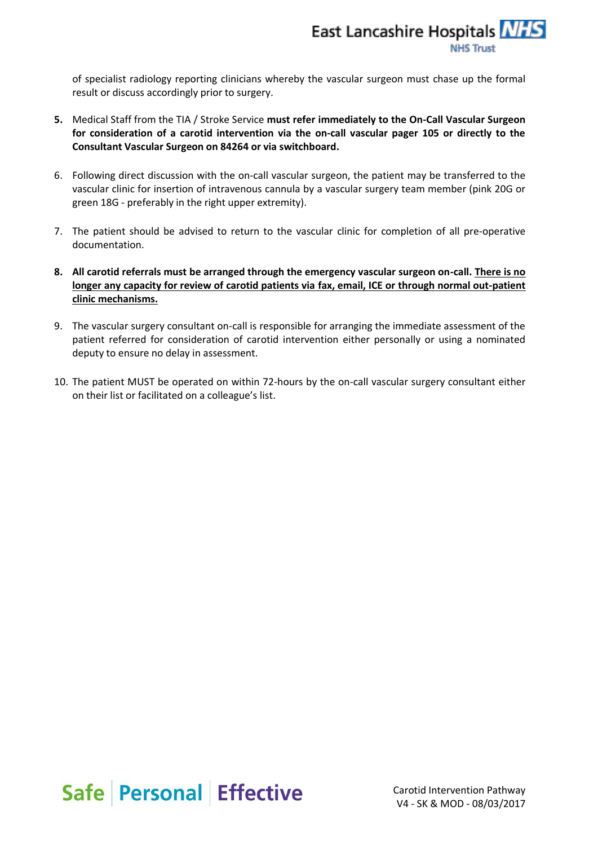of specialist radiology reporting clinicians whereby the vascular surgeon must chase up the formal result or discuss accordingly prior to surgery.

- **5.** Medical Staff from the TIA / Stroke Service **must refer immediately to the On-Call Vascular Surgeon for consideration of a carotid intervention via the on-call vascular pager 105 or directly to the Consultant Vascular Surgeon on 84264 or via switchboard.**
- 6. Following direct discussion with the on-call vascular surgeon, the patient may be transferred to the vascular clinic for insertion of intravenous cannula by a vascular surgery team member (pink 20G or green 18G - preferably in the right upper extremity).
- 7. The patient should be advised to return to the vascular clinic for completion of all pre-operative documentation.
- **8. All carotid referrals must be arranged through the emergency vascular surgeon on-call. There is no longer any capacity for review of carotid patients via fax, email, ICE or through normal out-patient clinic mechanisms.**
- 9. The vascular surgery consultant on-call is responsible for arranging the immediate assessment of the patient referred for consideration of carotid intervention either personally or using a nominated deputy to ensure no delay in assessment.
- 10. The patient MUST be operated on within 72-hours by the on-call vascular surgery consultant either on their list or facilitated on a colleague's list.